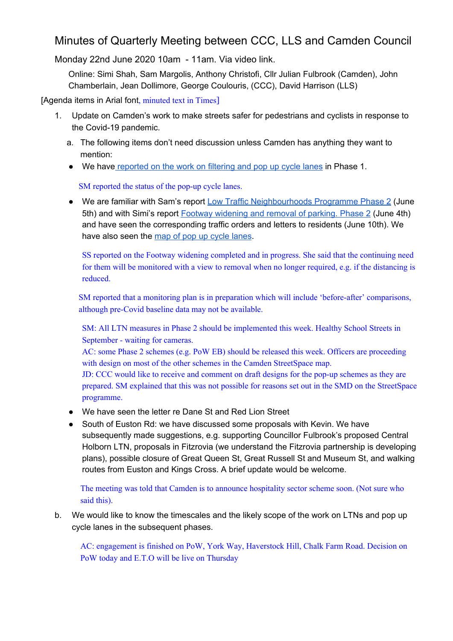## Minutes of Quarterly Meeting between CCC, LLS and Camden Council

Monday 22nd June 2020 10am - 11am. Via video link.

Online: Simi Shah, Sam Margolis, Anthony Christofi, Cllr Julian Fulbrook (Camden), John Chamberlain, Jean Dollimore, George Coulouris, (CCC), David Harrison (LLS)

[Agenda items in Arial font, minuted text in Times]

- 1. Update on Camden's work to make streets safer for pedestrians and cyclists in response to the Covid-19 pandemic.
	- a. The following items don't need discussion unless Camden has anything they want to mention:
	- We have [reported on the work on filtering and pop up cycle lanes](http://camdencyclists.org.uk/2020/05/five-road-closures-and-a-pair-of-pop-up-cycle-lanes/) in Phase 1.

SM reported the status of the pop-up cycle lanes.

● We are familiar with Sam's report [Low Traffic Neighbourhoods Programme Phase 2](http://democracy.camden.gov.uk/ieDecisionDetails.aspx?ID=2930) (June 5th) and with Simi's report [Footway widening and removal of parking. Phase 2](http://democracy.camden.gov.uk/ieDecisionDetails.aspx?Id=2928) (June 4th) and have seen the corresponding traffic orders and letters to residents (June 10th). We have also seen the [map of pop up cycle lanes](https://www.camden.gov.uk/documents/20142/181204604/4.1+Network+Map.pdf/0c6a8150-cbd4-2d92-0f45-5acc21c62ceb?t=1591023253438).

SS reported on the Footway widening completed and in progress. She said that the continuing need for them will be monitored with a view to removal when no longer required, e.g. if the distancing is reduced.

SM reported that a monitoring plan is in preparation which will include 'before-after' comparisons, although pre-Covid baseline data may not be available.

SM: All LTN measures in Phase 2 should be implemented this week. Healthy School Streets in September - waiting for cameras.

AC: some Phase 2 schemes (e.g. PoW EB) should be released this week. Officers are proceeding with design on most of the other schemes in the Camden StreetSpace map.

JD: CCC would like to receive and comment on draft designs for the pop-up schemes as they are prepared. SM explained that this was not possible for reasons set out in the SMD on the StreetSpace programme.

- We have seen the letter re Dane St and Red Lion Street
- South of Euston Rd: we have discussed some proposals with Kevin. We have subsequently made suggestions, e.g. supporting Councillor Fulbrook's proposed Central Holborn LTN, proposals in Fitzrovia (we understand the Fitzrovia partnership is developing plans), possible closure of Great Queen St, Great Russell St and Museum St, and walking routes from Euston and Kings Cross. A brief update would be welcome.

The meeting was told that Camden is to announce hospitality sector scheme soon. (Not sure who said this).

b. We would like to know the timescales and the likely scope of the work on LTNs and pop up cycle lanes in the subsequent phases.

AC: engagement is finished on PoW, York Way, Haverstock Hill, Chalk Farm Road. Decision on PoW today and E.T.O will be live on Thursday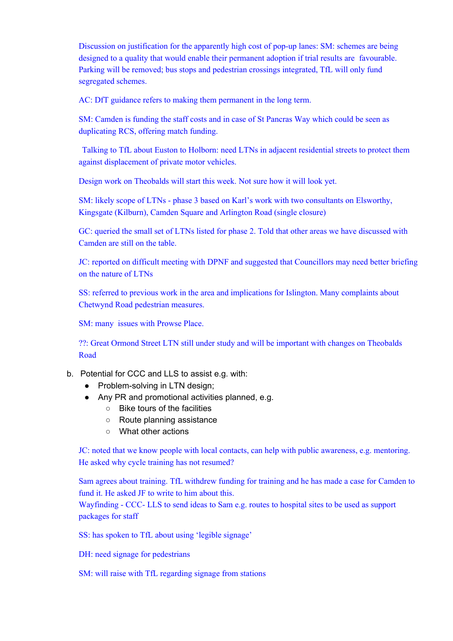Discussion on justification for the apparently high cost of pop-up lanes: SM: schemes are being designed to a quality that would enable their permanent adoption if trial results are favourable. Parking will be removed; bus stops and pedestrian crossings integrated, TfL will only fund segregated schemes.

AC: DfT guidance refers to making them permanent in the long term.

SM: Camden is funding the staff costs and in case of St Pancras Way which could be seen as duplicating RCS, offering match funding.

Talking to TfL about Euston to Holborn: need LTNs in adjacent residential streets to protect them against displacement of private motor vehicles.

Design work on Theobalds will start this week. Not sure how it will look yet.

SM: likely scope of LTNs - phase 3 based on Karl's work with two consultants on Elsworthy, Kingsgate (Kilburn), Camden Square and Arlington Road (single closure)

GC: queried the small set of LTNs listed for phase 2. Told that other areas we have discussed with Camden are still on the table.

JC: reported on difficult meeting with DPNF and suggested that Councillors may need better briefing on the nature of LTNs

SS: referred to previous work in the area and implications for Islington. Many complaints about Chetwynd Road pedestrian measures.

SM: many issues with Prowse Place.

??: Great Ormond Street LTN still under study and will be important with changes on Theobalds Road

- b. Potential for CCC and LLS to assist e.g. with:
	- Problem-solving in LTN design;
	- Any PR and promotional activities planned, e.g.
		- Bike tours of the facilities
		- Route planning assistance
		- What other actions

JC: noted that we know people with local contacts, can help with public awareness, e.g. mentoring. He asked why cycle training has not resumed?

Sam agrees about training. TfL withdrew funding for training and he has made a case for Camden to fund it. He asked JF to write to him about this.

Wayfinding - CCC- LLS to send ideas to Sam e.g. routes to hospital sites to be used as support packages for staff

SS: has spoken to TfL about using 'legible signage'

DH: need signage for pedestrians

SM: will raise with TfL regarding signage from stations